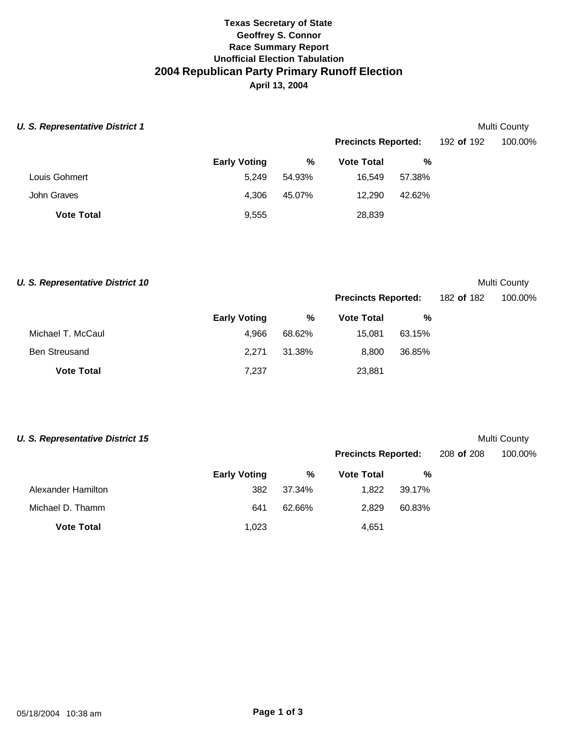## **Texas Secretary of State Geoffrey S. Connor Race Summary Report Unofficial Election Tabulation 2004 Republican Party Primary Runoff Election April 13, 2004**

| <b>U. S. Representative District 1</b> |                     |        |                            |        |            | Multi County |
|----------------------------------------|---------------------|--------|----------------------------|--------|------------|--------------|
|                                        |                     |        | <b>Precincts Reported:</b> |        | 192 of 192 | 100.00%      |
|                                        | <b>Early Voting</b> | %      | <b>Vote Total</b>          | %      |            |              |
| Louis Gohmert                          | 5.249               | 54.93% | 16.549                     | 57.38% |            |              |
| John Graves                            | 4.306               | 45.07% | 12.290                     | 42.62% |            |              |
| <b>Vote Total</b>                      | 9,555               |        | 28,839                     |        |            |              |

**U. S. Representative District 10** Multi County

**Precincts Reported:** 182 **of** 182 100.00%

|                      | <b>Early Voting</b> | %      | <b>Vote Total</b> | %      |
|----------------------|---------------------|--------|-------------------|--------|
| Michael T. McCaul    | 4.966               | 68.62% | 15.081            | 63.15% |
| <b>Ben Streusand</b> | 2.271               | 31.38% | 8.800             | 36.85% |
| <b>Vote Total</b>    | 7,237               |        | 23,881            |        |

| <b>U. S. Representative District 15</b> |                     |        |                            |        |            | Multi County |
|-----------------------------------------|---------------------|--------|----------------------------|--------|------------|--------------|
|                                         |                     |        | <b>Precincts Reported:</b> |        | 208 of 208 | 100.00%      |
|                                         | <b>Early Voting</b> | %      | <b>Vote Total</b>          | %      |            |              |
| Alexander Hamilton                      | 382                 | 37.34% | 1.822                      | 39.17% |            |              |
| Michael D. Thamm                        | 641                 | 62.66% | 2.829                      | 60.83% |            |              |
| <b>Vote Total</b>                       | 1,023               |        | 4,651                      |        |            |              |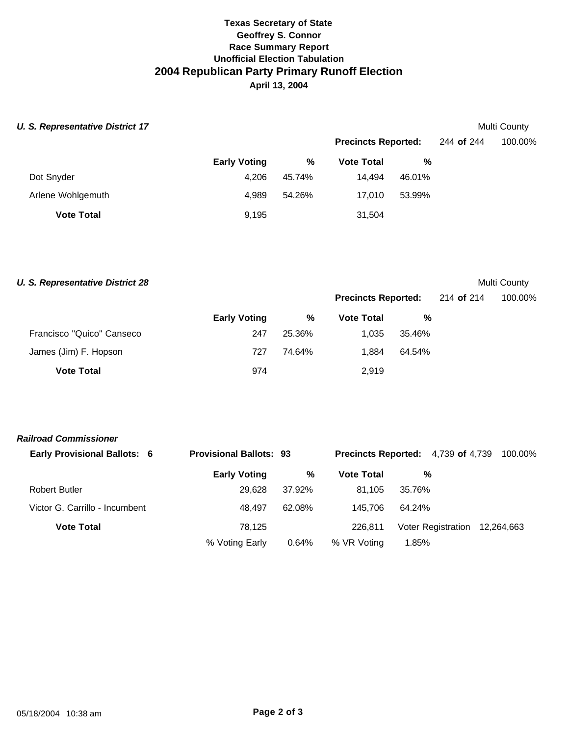## **Texas Secretary of State Geoffrey S. Connor Race Summary Report Unofficial Election Tabulation 2004 Republican Party Primary Runoff Election April 13, 2004**

| <b>U. S. Representative District 17</b> |                     |        |                            |        |            | Multi County |
|-----------------------------------------|---------------------|--------|----------------------------|--------|------------|--------------|
|                                         |                     |        | <b>Precincts Reported:</b> |        | 244 of 244 | 100.00%      |
|                                         | <b>Early Voting</b> | %      | <b>Vote Total</b>          | %      |            |              |
| Dot Snyder                              | 4,206               | 45.74% | 14.494                     | 46.01% |            |              |
| Arlene Wohlgemuth                       | 4.989               | 54.26% | 17.010                     | 53.99% |            |              |
| <b>Vote Total</b>                       | 9,195               |        | 31,504                     |        |            |              |

**U. S. Representative District 28** Multi County

|                           | <b>Early Voting</b> |        | <b>Precincts Reported:</b> |        | 214 <b>of</b> 214 | 100.00% |
|---------------------------|---------------------|--------|----------------------------|--------|-------------------|---------|
|                           |                     | %      | <b>Vote Total</b>          | %      |                   |         |
| Francisco "Quico" Canseco | 247                 | 25.36% | 1.035                      | 35.46% |                   |         |
| James (Jim) F. Hopson     | 727                 | 74.64% | 1.884                      | 64.54% |                   |         |
| <b>Vote Total</b>         | 974                 |        | 2,919                      |        |                   |         |

| <b>Early Provisional Ballots: 6</b> |                     | <b>Provisional Ballots: 93</b> |                   | <b>Precincts Reported:</b> 4,739 of 4,739 100.00% |  |
|-------------------------------------|---------------------|--------------------------------|-------------------|---------------------------------------------------|--|
|                                     | <b>Early Voting</b> | %                              | <b>Vote Total</b> | %                                                 |  |
| <b>Robert Butler</b>                | 29.628              | 37.92%                         | 81.105            | 35.76%                                            |  |
| Victor G. Carrillo - Incumbent      | 48.497              | 62.08%                         | 145.706           | 64.24%                                            |  |
| <b>Vote Total</b>                   | 78.125              |                                | 226.811           | Voter Registration 12,264,663                     |  |
|                                     | % Voting Early      | 0.64%                          | % VR Voting       | 1.85%                                             |  |